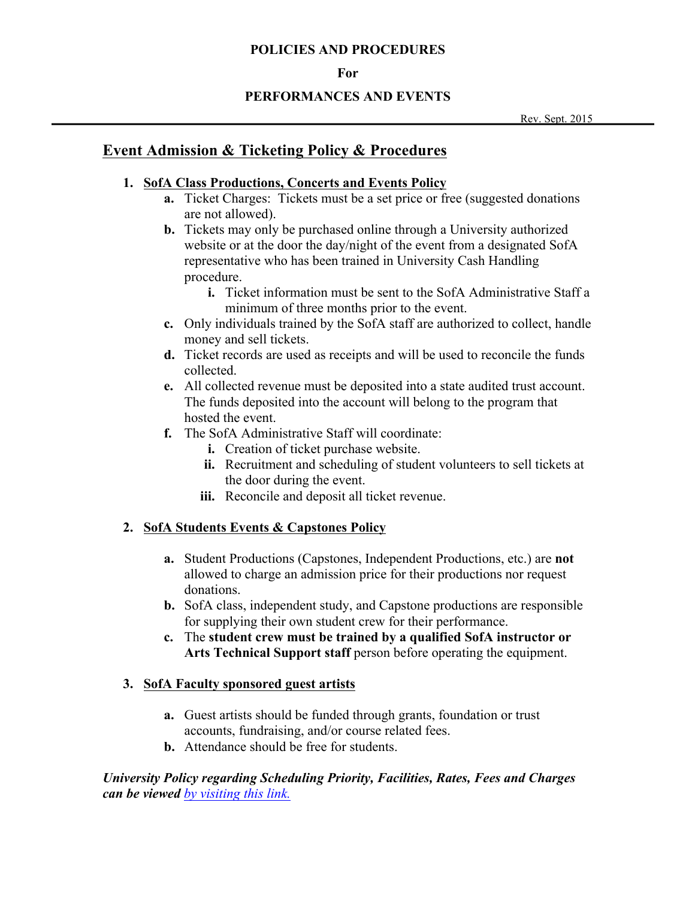#### **For**

## **PERFORMANCES AND EVENTS**

Rev. Sept. 2015

# **Event Admission & Ticketing Policy & Procedures**

# **1. SofA Class Productions, Concerts and Events Policy**

- **a.** Ticket Charges: Tickets must be a set price or free (suggested donations are not allowed).
- **b.** Tickets may only be purchased online through a University authorized website or at the door the day/night of the event from a designated SofA representative who has been trained in University Cash Handling procedure.
	- **i.** Ticket information must be sent to the SofA Administrative Staff a minimum of three months prior to the event.
- **c.** Only individuals trained by the SofA staff are authorized to collect, handle money and sell tickets.
- **d.** Ticket records are used as receipts and will be used to reconcile the funds collected.
- **e.** All collected revenue must be deposited into a state audited trust account. The funds deposited into the account will belong to the program that hosted the event.
- **f.** The SofA Administrative Staff will coordinate:
	- **i.** Creation of ticket purchase website.
	- **ii.** Recruitment and scheduling of student volunteers to sell tickets at the door during the event.
	- **iii.** Reconcile and deposit all ticket revenue.

# **2. SofA Students Events & Capstones Policy**

- **a.** Student Productions (Capstones, Independent Productions, etc.) are **not**  allowed to charge an admission price for their productions nor request donations.
- **b.** SofA class, independent study, and Capstone productions are responsible for supplying their own student crew for their performance.
- **c.** The **student crew must be trained by a qualified SofA instructor or Arts Technical Support staff** person before operating the equipment.

# **3. SofA Faculty sponsored guest artists**

- **a.** Guest artists should be funded through grants, foundation or trust accounts, fundraising, and/or course related fees.
- **b.** Attendance should be free for students.

*University Policy regarding Scheduling Priority, Facilities, Rates, Fees and Charges can be viewed by visiting this link.*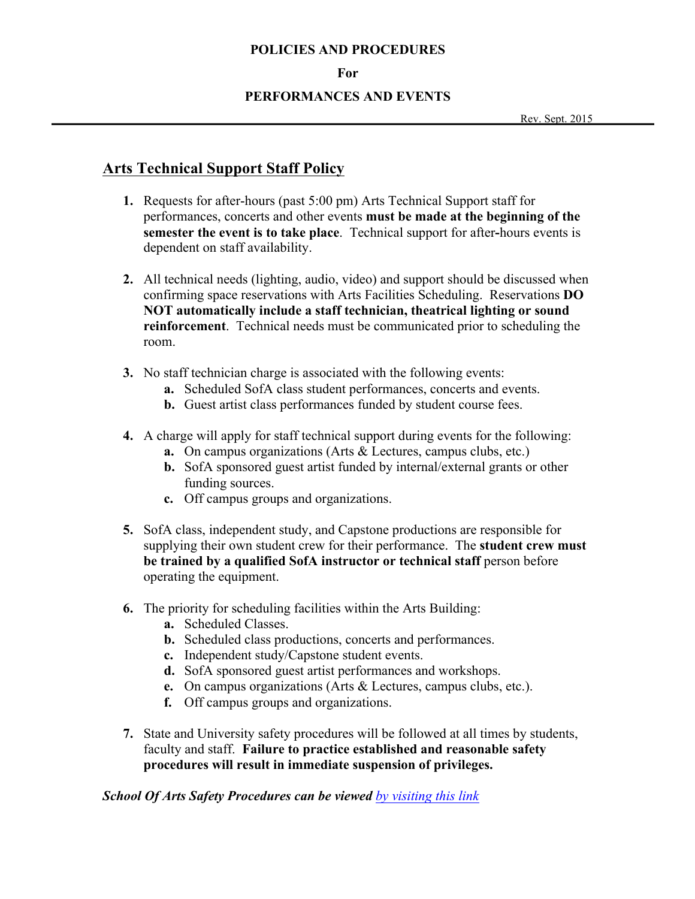#### **For**

### **PERFORMANCES AND EVENTS**

# **Arts Technical Support Staff Policy**

- **1.** Requests for after-hours (past 5:00 pm) Arts Technical Support staff for performances, concerts and other events **must be made at the beginning of the semester the event is to take place**. Technical support for after**-**hours events is dependent on staff availability.
- **2.** All technical needs (lighting, audio, video) and support should be discussed when confirming space reservations with Arts Facilities Scheduling. Reservations **DO NOT automatically include a staff technician, theatrical lighting or sound reinforcement**. Technical needs must be communicated prior to scheduling the room.
- **3.** No staff technician charge is associated with the following events:
	- **a.** Scheduled SofA class student performances, concerts and events.
	- **b.** Guest artist class performances funded by student course fees.
- **4.** A charge will apply for staff technical support during events for the following:
	- **a.** On campus organizations (Arts & Lectures, campus clubs, etc.)
	- **b.** SofA sponsored guest artist funded by internal/external grants or other funding sources.
	- **c.** Off campus groups and organizations.
- **5.** SofA class, independent study, and Capstone productions are responsible for supplying their own student crew for their performance. The **student crew must be trained by a qualified SofA instructor or technical staff** person before operating the equipment.
- **6.** The priority for scheduling facilities within the Arts Building:
	- **a.** Scheduled Classes.
	- **b.** Scheduled class productions, concerts and performances.
	- **c.** Independent study/Capstone student events.
	- **d.** SofA sponsored guest artist performances and workshops.
	- **e.** On campus organizations (Arts & Lectures, campus clubs, etc.).
	- **f.** Off campus groups and organizations.
- **7.** State and University safety procedures will be followed at all times by students, faculty and staff. **Failure to practice established and reasonable safety procedures will result in immediate suspension of privileges.**

*School Of Arts Safety Procedures can be viewed by visiting this link*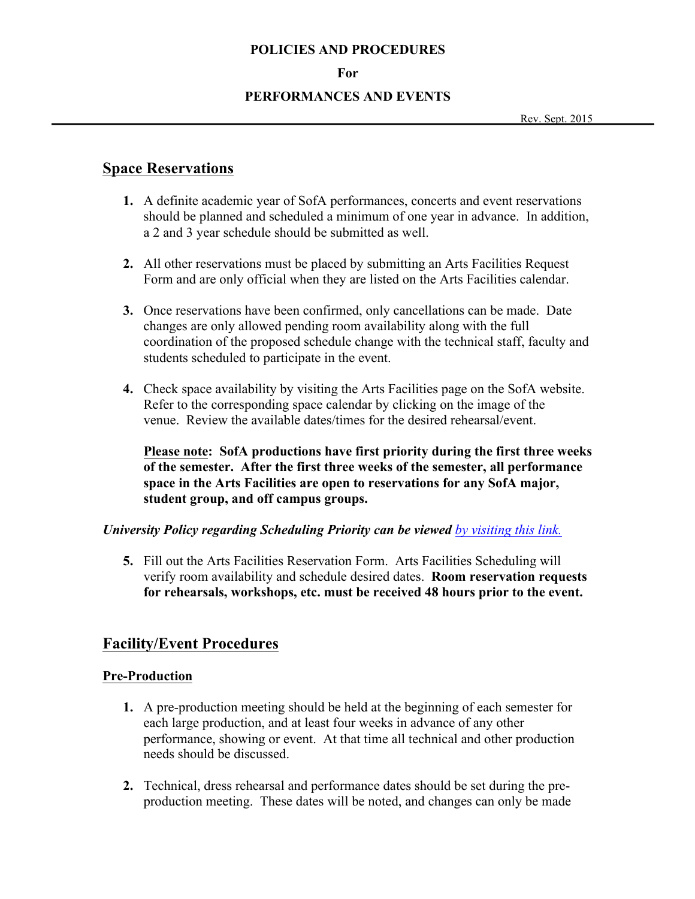#### **For**

#### **PERFORMANCES AND EVENTS**

Rev. Sept. 2015

# **Space Reservations**

- **1.** A definite academic year of SofA performances, concerts and event reservations should be planned and scheduled a minimum of one year in advance. In addition, a 2 and 3 year schedule should be submitted as well.
- **2.** All other reservations must be placed by submitting an Arts Facilities Request Form and are only official when they are listed on the Arts Facilities calendar.
- **3.** Once reservations have been confirmed, only cancellations can be made. Date changes are only allowed pending room availability along with the full coordination of the proposed schedule change with the technical staff, faculty and students scheduled to participate in the event.
- **4.** Check space availability by visiting the Arts Facilities page on the SofA website. Refer to the corresponding space calendar by clicking on the image of the venue. Review the available dates/times for the desired rehearsal/event.

**Please note: SofA productions have first priority during the first three weeks of the semester. After the first three weeks of the semester, all performance space in the Arts Facilities are open to reservations for any SofA major, student group, and off campus groups.**

### *University Policy regarding Scheduling Priority can be viewed by visiting this link.*

**5.** Fill out the Arts Facilities Reservation Form. Arts Facilities Scheduling will verify room availability and schedule desired dates. **Room reservation requests for rehearsals, workshops, etc. must be received 48 hours prior to the event.**

# **Facility/Event Procedures**

### **Pre-Production**

- **1.** A pre-production meeting should be held at the beginning of each semester for each large production, and at least four weeks in advance of any other performance, showing or event. At that time all technical and other production needs should be discussed.
- **2.** Technical, dress rehearsal and performance dates should be set during the preproduction meeting. These dates will be noted, and changes can only be made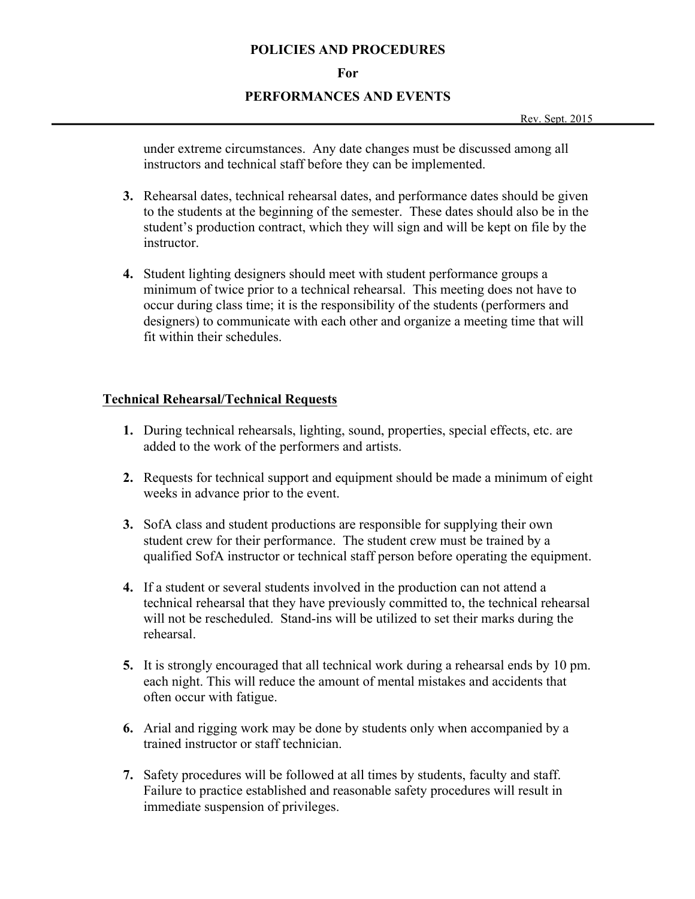#### **For**

#### **PERFORMANCES AND EVENTS**

under extreme circumstances. Any date changes must be discussed among all instructors and technical staff before they can be implemented.

- **3.** Rehearsal dates, technical rehearsal dates, and performance dates should be given to the students at the beginning of the semester. These dates should also be in the student's production contract, which they will sign and will be kept on file by the instructor.
- **4.** Student lighting designers should meet with student performance groups a minimum of twice prior to a technical rehearsal. This meeting does not have to occur during class time; it is the responsibility of the students (performers and designers) to communicate with each other and organize a meeting time that will fit within their schedules.

### **Technical Rehearsal/Technical Requests**

- **1.** During technical rehearsals, lighting, sound, properties, special effects, etc. are added to the work of the performers and artists.
- **2.** Requests for technical support and equipment should be made a minimum of eight weeks in advance prior to the event.
- **3.** SofA class and student productions are responsible for supplying their own student crew for their performance. The student crew must be trained by a qualified SofA instructor or technical staff person before operating the equipment.
- **4.** If a student or several students involved in the production can not attend a technical rehearsal that they have previously committed to, the technical rehearsal will not be rescheduled. Stand-ins will be utilized to set their marks during the rehearsal.
- **5.** It is strongly encouraged that all technical work during a rehearsal ends by 10 pm. each night. This will reduce the amount of mental mistakes and accidents that often occur with fatigue.
- **6.** Arial and rigging work may be done by students only when accompanied by a trained instructor or staff technician.
- **7.** Safety procedures will be followed at all times by students, faculty and staff. Failure to practice established and reasonable safety procedures will result in immediate suspension of privileges.